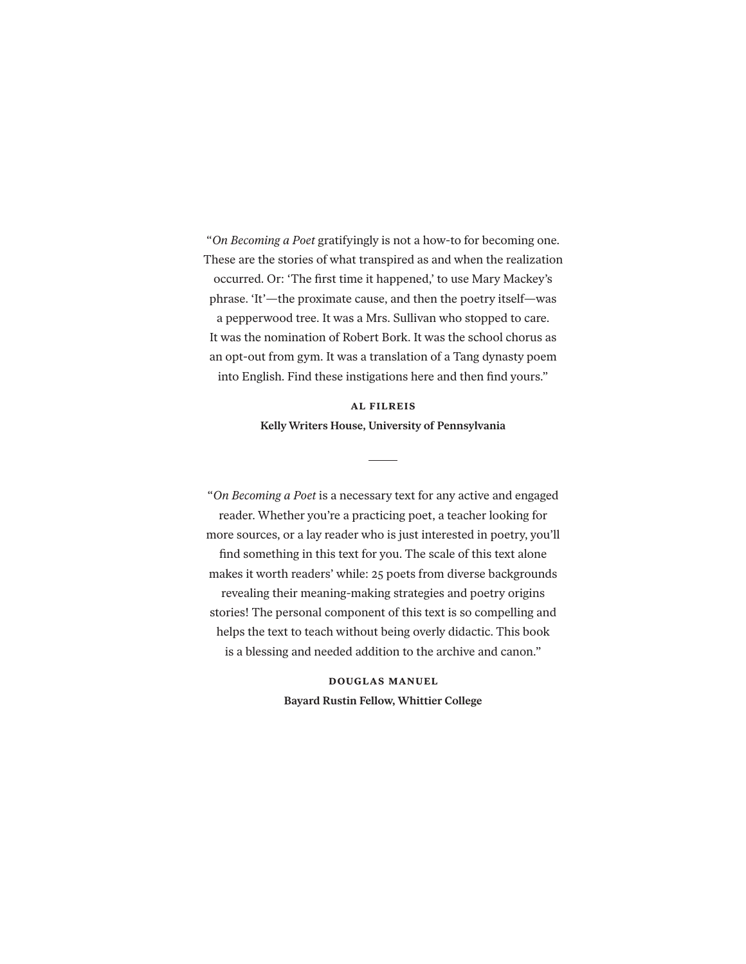"*On Becoming a Poet* gratifyingly is not a how-to for becoming one. These are the stories of what transpired as and when the realization occurred. Or: 'The first time it happened,' to use Mary Mackey's phrase. 'It'—the proximate cause, and then the poetry itself—was a pepperwood tree. It was a Mrs. Sullivan who stopped to care. It was the nomination of Robert Bork. It was the school chorus as an opt-out from gym. It was a translation of a Tang dynasty poem into English. Find these instigations here and then find yours."

## **al filreis Kelly Writers House, University of Pennsylvania**

"*On Becoming a Poet* is a necessary text for any active and engaged reader. Whether you're a practicing poet, a teacher looking for more sources, or a lay reader who is just interested in poetry, you'll find something in this text for you. The scale of this text alone makes it worth readers' while: 25 poets from diverse backgrounds revealing their meaning-making strategies and poetry origins stories! The personal component of this text is so compelling and helps the text to teach without being overly didactic. This book is a blessing and needed addition to the archive and canon."

> **douglas manuel Bayard Rustin Fellow, Whittier College**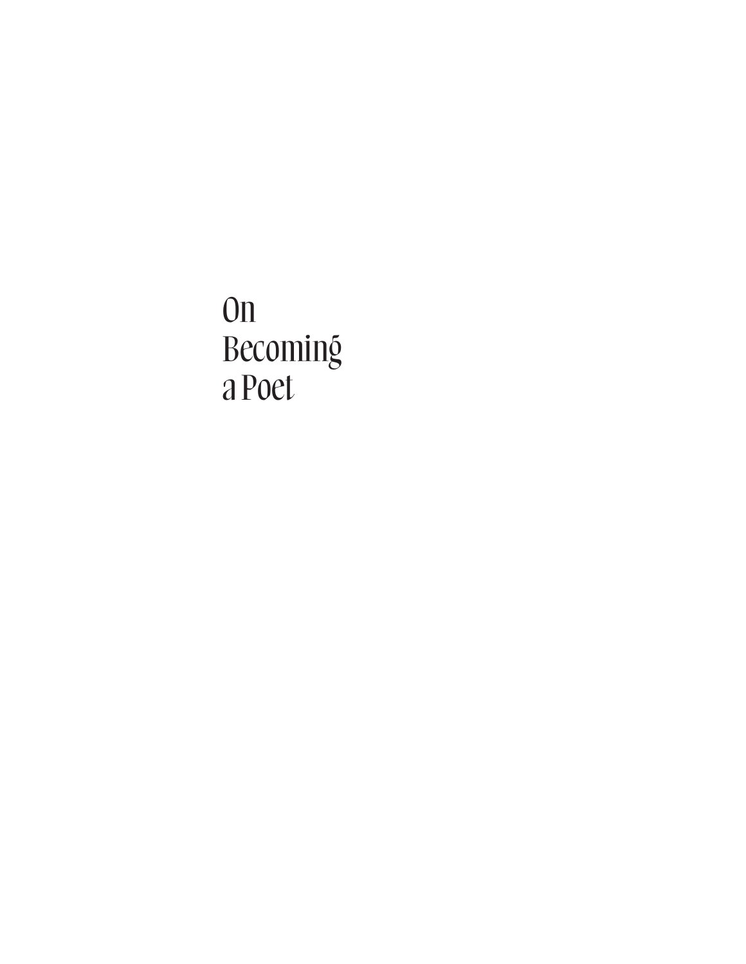On Becoming a Poet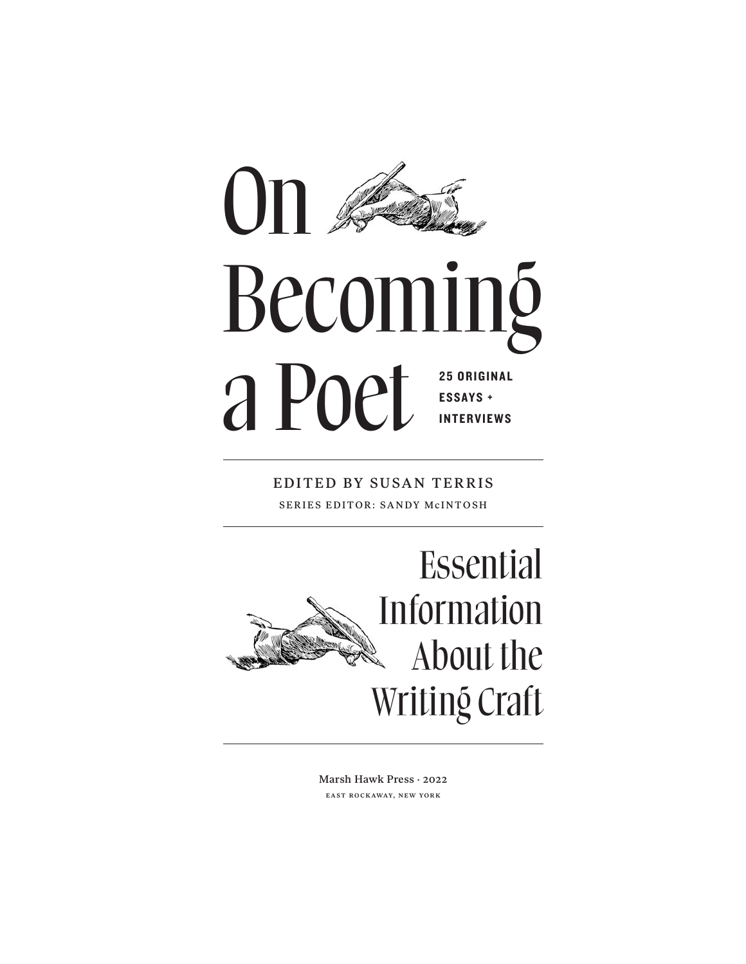

EDITED BY SUSAN TERRIS SERIES EDITOR: SANDY McINTOSH



Marsh Hawk Press · 2022 east rockaway, new york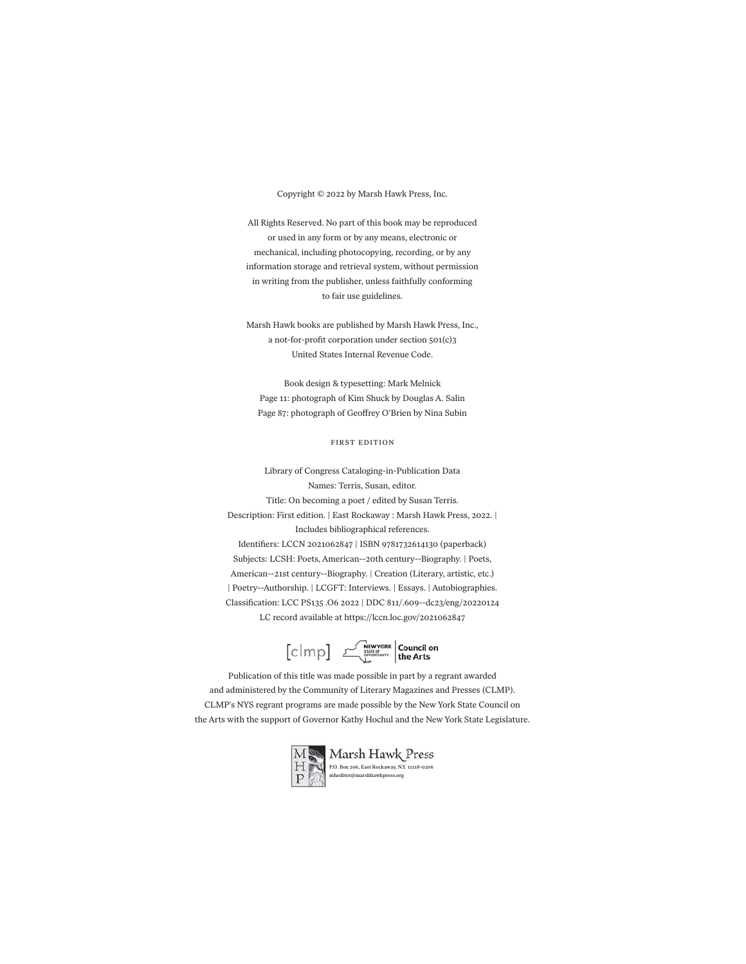#### Copyright © 2022 by Marsh Hawk Press, Inc.

All Rights Reserved. No part of this book may be reproduced or used in any form or by any means, electronic or mechanical, including photocopying, recording, or by any information storage and retrieval system, without permission in writing from the publisher, unless faithfully conforming to fair use guidelines.

Marsh Hawk books are published by Marsh Hawk Press, Inc., a not-for-profit corporation under section 501(c)3 United States Internal Revenue Code.

Book design & typesetting: Mark Melnick Page 11: photograph of Kim Shuck by Douglas A. Salin Page 87: photograph of Geoffrey O'Brien by Nina Subin

#### first edition

Library of Congress Cataloging-in-Publication Data Names: Terris, Susan, editor. Title: On becoming a poet / edited by Susan Terris. Description: First edition. | East Rockaway : Marsh Hawk Press, 2022. | Includes bibliographical references. Identifiers: LCCN 2021062847 | ISBN 9781732614130 (paperback) Subjects: LCSH: Poets, American--20th century--Biography. | Poets, American--21st century--Biography. | Creation (Literary, artistic, etc.) | Poetry--Authorship. | LCGFT: Interviews. | Essays. | Autobiographies. Classification: LCC PS135 .O6 2022 | DDC 811/.609--dc23/eng/20220124 LC record available at https://lccn.loc.gov/2021062847



 $\begin{bmatrix} \text{clmp} \\ \text{clmp} \end{bmatrix} \begin{bmatrix} \text{New York} \\ \text{SINTCG'} \\ \text{SINTCG'} \\ \text{Lip} \end{bmatrix} \begin{bmatrix} \text{Counticil on} \\ \text{the Arts} \end{bmatrix}$ 

Publication of this title was made possible in part by a regrant awarded and administered by the Community of Literary Magazines and Presses (CLMP). CLMP's NYS regrant programs are made possible by the New York State Council on the Arts with the support of Governor Kathy Hochul and the New York State Legislature.

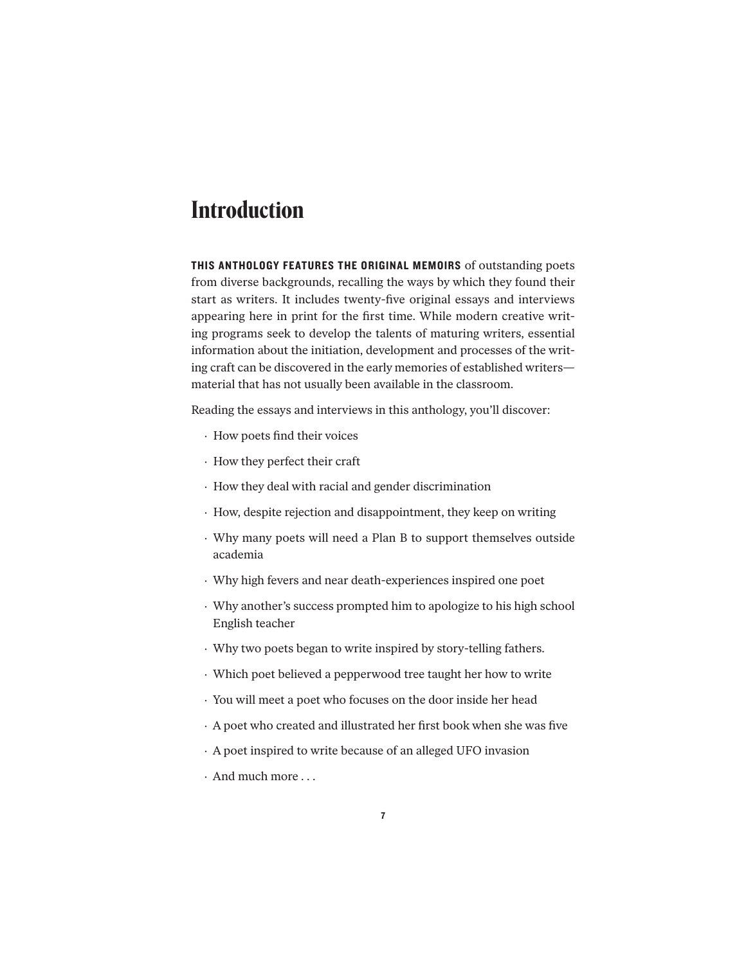## **Introduction**

THIS ANTHOLOGY FEATURES THE ORIGINAL MEMOIRS of outstanding poets from diverse backgrounds, recalling the ways by which they found their start as writers. It includes twenty-five original essays and interviews appearing here in print for the first time. While modern creative writing programs seek to develop the talents of maturing writers, essential information about the initiation, development and processes of the writing craft can be discovered in the early memories of established writers material that has not usually been available in the classroom.

Reading the essays and interviews in this anthology, you'll discover:

- · How poets find their voices
- · How they perfect their craft
- · How they deal with racial and gender discrimination
- · How, despite rejection and disappointment, they keep on writing
- · Why many poets will need a Plan B to support themselves outside academia
- · Why high fevers and near death-experiences inspired one poet
- · Why another's success prompted him to apologize to his high school English teacher
- · Why two poets began to write inspired by story-telling fathers.
- · Which poet believed a pepperwood tree taught her how to write
- · You will meet a poet who focuses on the door inside her head
- · A poet who created and illustrated her first book when she was five
- · A poet inspired to write because of an alleged UFO invasion
- · And much more . . .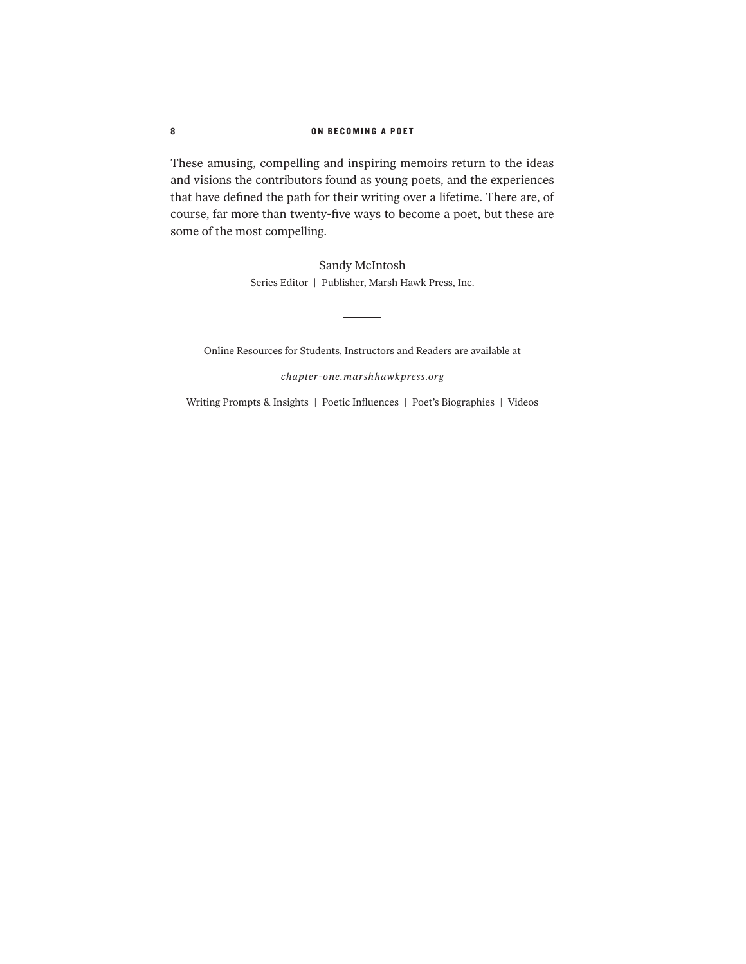### 8 ON BECOMING A POET

These amusing, compelling and inspiring memoirs return to the ideas and visions the contributors found as young poets, and the experiences that have defined the path for their writing over a lifetime. There are, of course, far more than twenty-five ways to become a poet, but these are some of the most compelling.

> Sandy McIntosh Series Editor | Publisher, Marsh Hawk Press, Inc.

Online Resources for Students, Instructors and Readers are available at

ц.

*chapter-one.marshhawkpress.org*

Writing Prompts & Insights | Poetic Influences | Poet's Biographies | Videos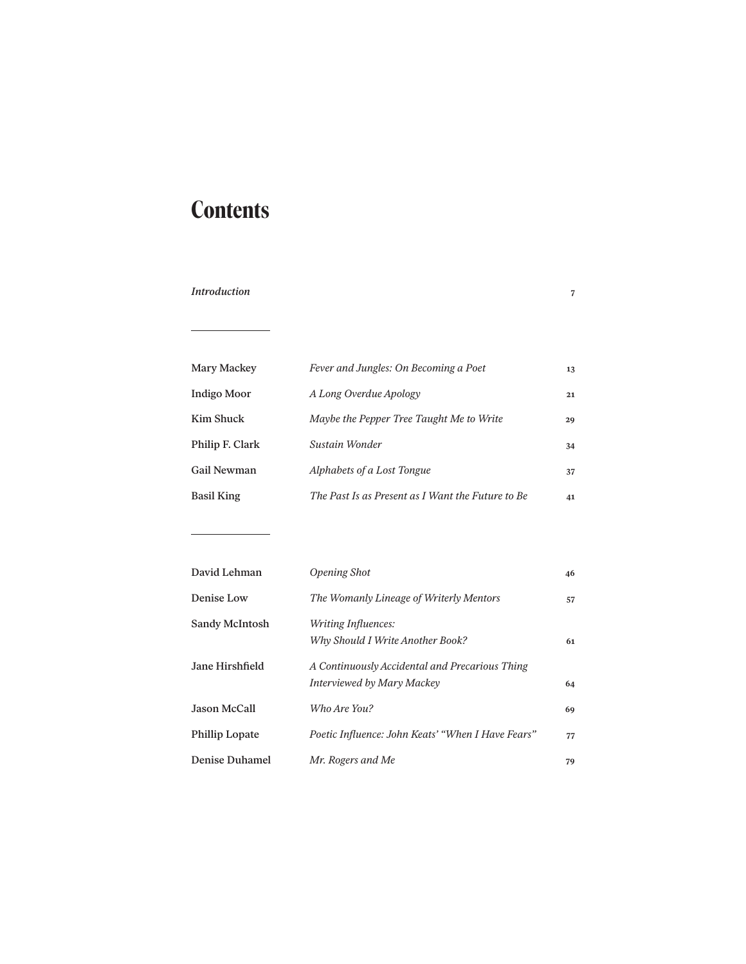# **Contents**

## *Introduction* **7**

 $\overline{\phantom{0}}$ 

 $\overline{\phantom{a}}$ 

| Mary Mackey     | Fever and Jungles: On Becoming a Poet             | 13 |
|-----------------|---------------------------------------------------|----|
| Indigo Moor     | A Long Overdue Apology                            | 21 |
| Kim Shuck       | Maybe the Pepper Tree Taught Me to Write          | 29 |
| Philip F. Clark | Sustain Wonder                                    | 34 |
| Gail Newman     | Alphabets of a Lost Tongue                        | 37 |
| Basil King      | The Past Is as Present as I Want the Future to Be | 41 |

| David Lehman          | <b>Opening Shot</b>                               | 46 |
|-----------------------|---------------------------------------------------|----|
| Denise Low            | The Womanly Lineage of Writerly Mentors           | 57 |
| Sandy McIntosh        | Writing Influences:                               |    |
|                       | Why Should I Write Another Book?                  | 61 |
| Jane Hirshfield       | A Continuously Accidental and Precarious Thing    |    |
|                       | Interviewed by Mary Mackey                        | 64 |
| Jason McCall          | Who Are You?                                      | 69 |
| <b>Phillip Lopate</b> | Poetic Influence: John Keats' "When I Have Fears" | 77 |
| <b>Denise Duhamel</b> | Mr. Rogers and Me                                 | 79 |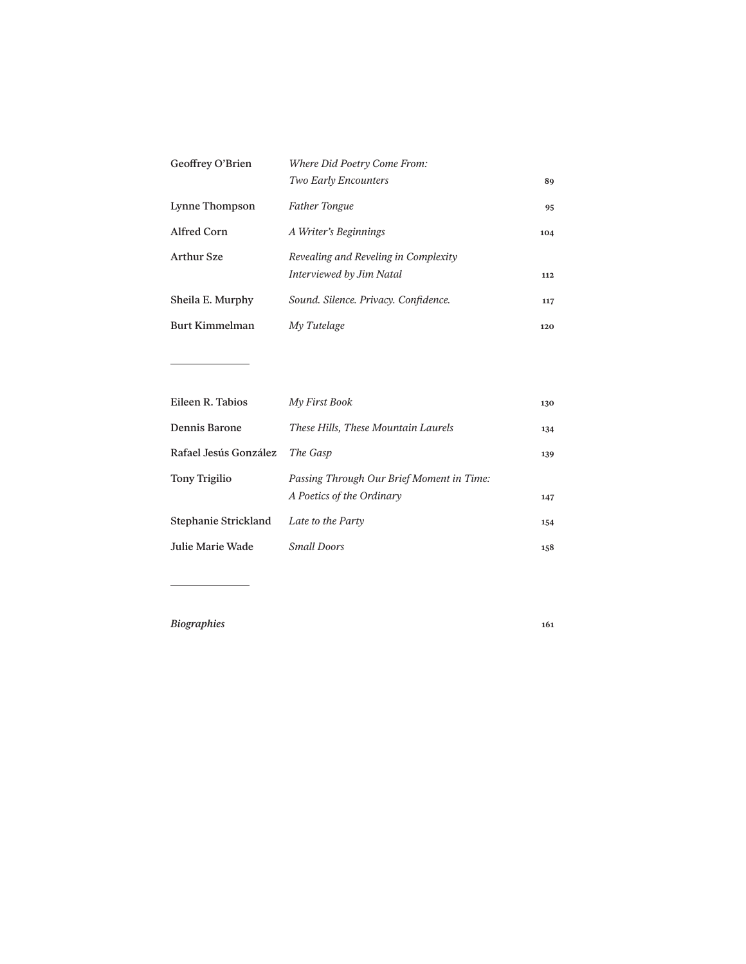| Geoffrey O'Brien  | Where Did Poetry Come From:          |     |
|-------------------|--------------------------------------|-----|
|                   | <b>Two Early Encounters</b>          | 89  |
| Lynne Thompson    | <b>Father Tongue</b>                 | 95  |
| Alfred Corn       | A Writer's Beginnings                | 104 |
| <b>Arthur Sze</b> | Revealing and Reveling in Complexity |     |
|                   | Interviewed by Jim Natal             | 112 |
| Sheila E. Murphy  | Sound. Silence. Privacy. Confidence. | 117 |
| Burt Kimmelman    | My Tutelage                          | 120 |

| Eileen R. Tabios        | My First Book                                                          | 130 |
|-------------------------|------------------------------------------------------------------------|-----|
| Dennis Barone           | These Hills, These Mountain Laurels                                    | 134 |
| Rafael Jesús González   | The Gasp                                                               | 139 |
| <b>Tony Trigilio</b>    | Passing Through Our Brief Moment in Time:<br>A Poetics of the Ordinary | 147 |
| Stephanie Strickland    | Late to the Party                                                      | 154 |
| <b>Julie Marie Wade</b> | <b>Small Doors</b>                                                     | 158 |

*Biographies* **161**

 $\overline{\phantom{0}}$ 

÷,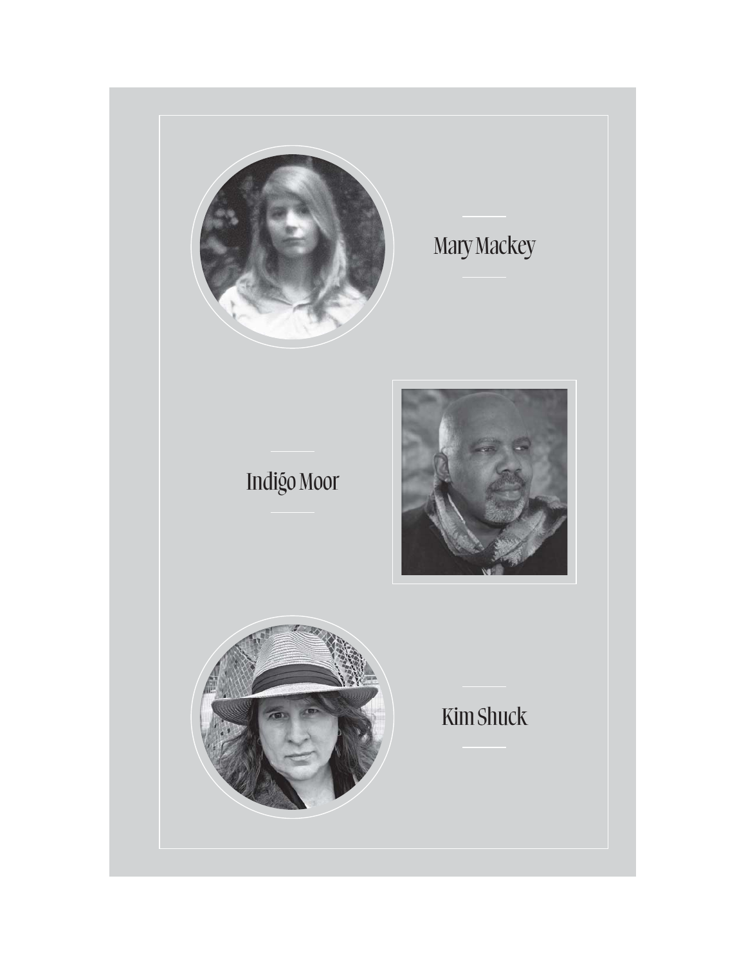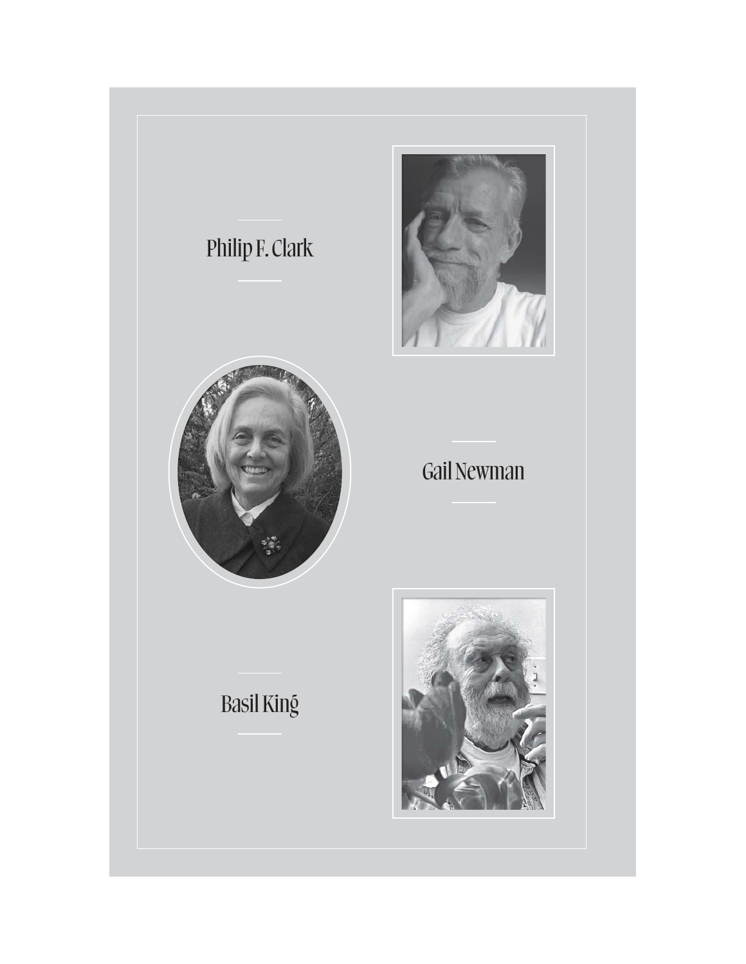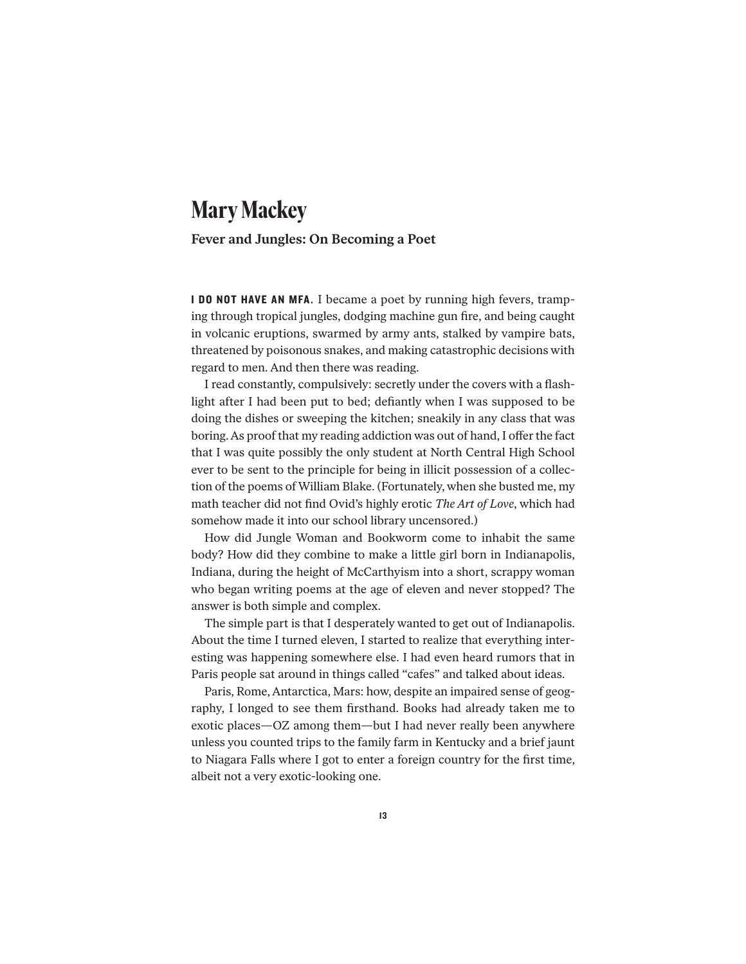## **Mary Mackey**

## **Fever and Jungles: On Becoming a Poet**

**I DO NOT HAVE AN MFA.** I became a poet by running high fevers, tramping through tropical jungles, dodging machine gun fire, and being caught in volcanic eruptions, swarmed by army ants, stalked by vampire bats, threatened by poisonous snakes, and making catastrophic decisions with regard to men. And then there was reading.

I read constantly, compulsively: secretly under the covers with a flashlight after I had been put to bed; defiantly when I was supposed to be doing the dishes or sweeping the kitchen; sneakily in any class that was boring. As proof that my reading addiction was out of hand, I offer the fact that I was quite possibly the only student at North Central High School ever to be sent to the principle for being in illicit possession of a collection of the poems of William Blake. (Fortunately, when she busted me, my math teacher did not find Ovid's highly erotic *The Art of Love*, which had somehow made it into our school library uncensored.)

How did Jungle Woman and Bookworm come to inhabit the same body? How did they combine to make a little girl born in Indianapolis, Indiana, during the height of McCarthyism into a short, scrappy woman who began writing poems at the age of eleven and never stopped? The answer is both simple and complex.

The simple part is that I desperately wanted to get out of Indianapolis. About the time I turned eleven, I started to realize that everything interesting was happening somewhere else. I had even heard rumors that in Paris people sat around in things called "cafes" and talked about ideas.

Paris, Rome, Antarctica, Mars: how, despite an impaired sense of geography, I longed to see them firsthand. Books had already taken me to exotic places—OZ among them—but I had never really been anywhere unless you counted trips to the family farm in Kentucky and a brief jaunt to Niagara Falls where I got to enter a foreign country for the first time, albeit not a very exotic-looking one.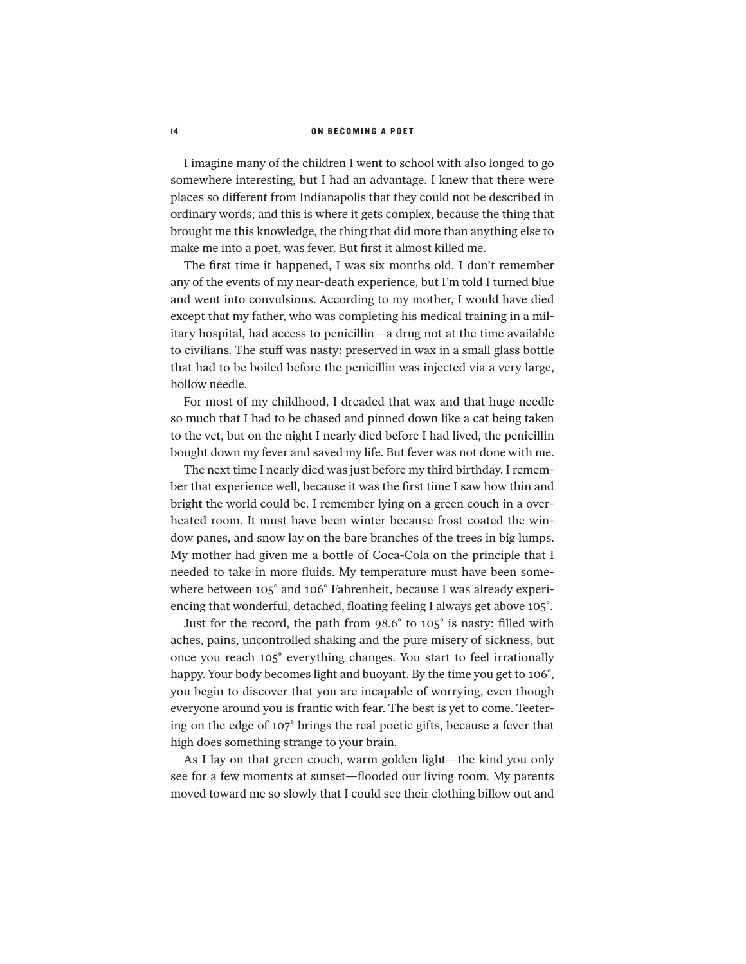#### 14 ON BECOMING A POET

I imagine many of the children I went to school with also longed to go somewhere interesting, but I had an advantage. I knew that there were places so different from Indianapolis that they could not be described in ordinary words; and this is where it gets complex, because the thing that brought me this knowledge, the thing that did more than anything else to make me into a poet, was fever. But first it almost killed me.

The first time it happened, I was six months old. I don't remember any of the events of my near-death experience, but I'm told I turned blue and went into convulsions. According to my mother, I would have died except that my father, who was completing his medical training in a military hospital, had access to penicillin—a drug not at the time available to civilians. The stuff was nasty: preserved in wax in a small glass bottle that had to be boiled before the penicillin was injected via a very large, hollow needle.

For most of my childhood, I dreaded that wax and that huge needle so much that I had to be chased and pinned down like a cat being taken to the vet, but on the night I nearly died before I had lived, the penicillin bought down my fever and saved my life. But fever was not done with me.

The next time I nearly died was just before my third birthday. I remember that experience well, because it was the first time I saw how thin and bright the world could be. I remember lying on a green couch in a overheated room. It must have been winter because frost coated the window panes, and snow lay on the bare branches of the trees in big lumps. My mother had given me a bottle of Coca-Cola on the principle that I needed to take in more fluids. My temperature must have been somewhere between 105° and 106° Fahrenheit, because I was already experiencing that wonderful, detached, floating feeling I always get above 105°.

Just for the record, the path from 98.6° to 105° is nasty: filled with aches, pains, uncontrolled shaking and the pure misery of sickness, but once you reach 105° everything changes. You start to feel irrationally happy. Your body becomes light and buoyant. By the time you get to 106°, you begin to discover that you are incapable of worrying, even though everyone around you is frantic with fear. The best is yet to come. Teetering on the edge of 107° brings the real poetic gifts, because a fever that high does something strange to your brain.

As I lay on that green couch, warm golden light—the kind you only see for a few moments at sunset—flooded our living room. My parents moved toward me so slowly that I could see their clothing billow out and